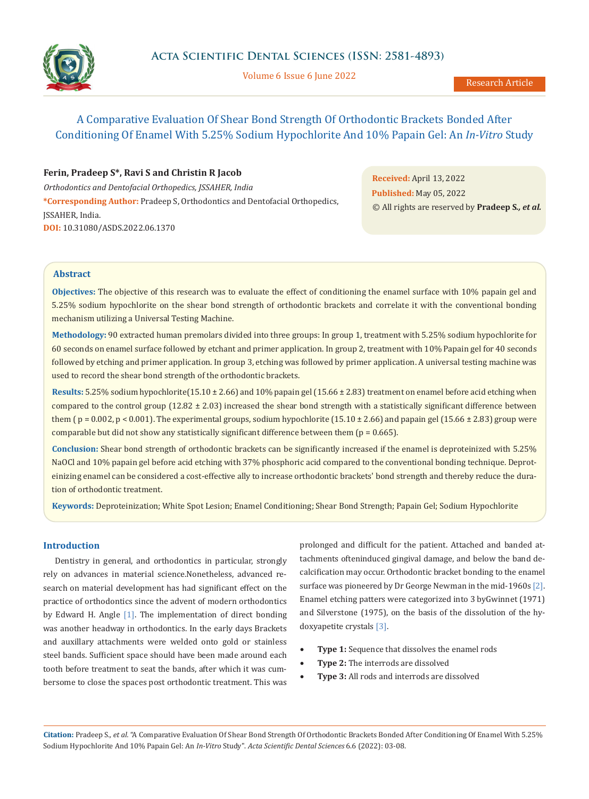

Volume 6 Issue 6 June 2022

# A Comparative Evaluation Of Shear Bond Strength Of Orthodontic Brackets Bonded After Conditioning Of Enamel With 5.25% Sodium Hypochlorite And 10% Papain Gel: An *In-Vitro* Study

# **Ferin, Pradeep S\*, Ravi S and Christin R Jacob**

*Orthodontics and Dentofacial Orthopedics, JSSAHER, India* **\*Corresponding Author:** Pradeep S, Orthodontics and Dentofacial Orthopedics, JSSAHER, India. **DOI:** [10.31080/ASDS.2022.06.1370](https://actascientific.com/ASDS/pdf/ASDS-06-1370.pdf)

**Received:** April 13, 2022 **Published:** May 05, 2022 © All rights are reserved by **Pradeep S***., et al.*

# **Abstract**

**Objectives:** The objective of this research was to evaluate the effect of conditioning the enamel surface with 10% papain gel and 5.25% sodium hypochlorite on the shear bond strength of orthodontic brackets and correlate it with the conventional bonding mechanism utilizing a Universal Testing Machine.

**Methodology:** 90 extracted human premolars divided into three groups: In group 1, treatment with 5.25% sodium hypochlorite for 60 seconds on enamel surface followed by etchant and primer application. In group 2, treatment with 10% Papain gel for 40 seconds followed by etching and primer application. In group 3, etching was followed by primer application. A universal testing machine was used to record the shear bond strength of the orthodontic brackets.

**Results:** 5.25% sodium hypochlorite(15.10 ± 2.66) and 10% papain gel (15.66 ± 2.83) treatment on enamel before acid etching when compared to the control group  $(12.82 \pm 2.03)$  increased the shear bond strength with a statistically significant difference between them ( $p = 0.002$ ,  $p < 0.001$ ). The experimental groups, sodium hypochlorite (15.10  $\pm$  2.66) and papain gel (15.66  $\pm$  2.83) group were comparable but did not show any statistically significant difference between them  $(p = 0.665)$ .

**Conclusion:** Shear bond strength of orthodontic brackets can be significantly increased if the enamel is deproteinized with 5.25% NaOCl and 10% papain gel before acid etching with 37% phosphoric acid compared to the conventional bonding technique. Deproteinizing enamel can be considered a cost-effective ally to increase orthodontic brackets' bond strength and thereby reduce the duration of orthodontic treatment.

**Keywords:** Deproteinization; White Spot Lesion; Enamel Conditioning; Shear Bond Strength; Papain Gel; Sodium Hypochlorite

# **Introduction**

Dentistry in general, and orthodontics in particular, strongly rely on advances in material science.Nonetheless, advanced research on material development has had significant effect on the practice of orthodontics since the advent of modern orthodontics by Edward H. Angle [1]. The implementation of direct bonding was another headway in orthodontics. In the early days Brackets and auxillary attachments were welded onto gold or stainless steel bands. Sufficient space should have been made around each tooth before treatment to seat the bands, after which it was cumbersome to close the spaces post orthodontic treatment. This was

prolonged and difficult for the patient. Attached and banded attachments ofteninduced gingival damage, and below the band decalcification may occur. Orthodontic bracket bonding to the enamel surface was pioneered by Dr George Newman in the mid-1960s [2]. Enamel etching patters were categorized into 3 byGwinnet (1971) and Silverstone (1975), on the basis of the dissolution of the hydoxyapetite crystals [3].

- **Type 1:** Sequence that dissolves the enamel rods
- **Type 2:** The interrods are dissolved
- • **Type 3:** All rods and interrods are dissolved

**Citation:** Pradeep S*., et al.* "A Comparative Evaluation Of Shear Bond Strength Of Orthodontic Brackets Bonded After Conditioning Of Enamel With 5.25% Sodium Hypochlorite And 10% Papain Gel: An *In-Vitro* Study". *Acta Scientific Dental Sciences* 6.6 (2022): 03-08.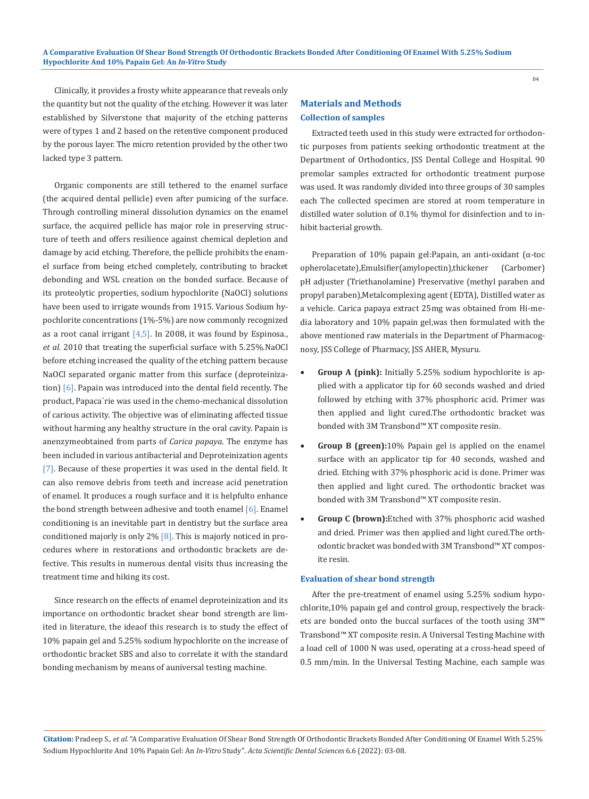Clinically, it provides a frosty white appearance that reveals only the quantity but not the quality of the etching. However it was later established by Silverstone that majority of the etching patterns were of types 1 and 2 based on the retentive component produced by the porous layer. The micro retention provided by the other two lacked type 3 pattern.

Organic components are still tethered to the enamel surface (the acquired dental pellicle) even after pumicing of the surface. Through controlling mineral dissolution dynamics on the enamel surface, the acquired pellicle has major role in preserving structure of teeth and offers resilience against chemical depletion and damage by acid etching. Therefore, the pellicle prohibits the enamel surface from being etched completely, contributing to bracket debonding and WSL creation on the bonded surface. Because of its proteolytic properties, sodium hypochlorite (NaOCl) solutions have been used to irrigate wounds from 1915. Various Sodium hypochlorite concentrations (1%-5%) are now commonly recognized as a root canal irrigant  $[4,5]$ . In 2008, it was found by Espinosa., *et al.* 2010 that treating the superficial surface with 5.25%.NaOCl before etching increased the quality of the etching pattern because NaOCl separated organic matter from this surface (deproteinization) [6]. Papain was introduced into the dental field recently. The product, Papaca´rie was used in the chemo-mechanical dissolution of carious activity. The objective was of eliminating affected tissue without harming any healthy structure in the oral cavity. Papain is anenzymeobtained from parts of *Carica papaya*. The enzyme has been included in various antibacterial and Deproteinization agents [7]. Because of these properties it was used in the dental field. It can also remove debris from teeth and increase acid penetration of enamel. It produces a rough surface and it is helpfulto enhance the bond strength between adhesive and tooth enamel [6]. Enamel conditioning is an inevitable part in dentistry but the surface area conditioned majorly is only 2%  $[8]$ . This is majorly noticed in procedures where in restorations and orthodontic brackets are defective. This results in numerous dental visits thus increasing the treatment time and hiking its cost.

Since research on the effects of enamel deproteinization and its importance on orthodontic bracket shear bond strength are limited in literature, the ideaof this research is to study the effect of 10% papain gel and 5.25% sodium hypochlorite on the increase of orthodontic bracket SBS and also to correlate it with the standard bonding mechanism by means of auniversal testing machine.

# **Materials and Methods Collection of samples**

Extracted teeth used in this study were extracted for orthodontic purposes from patients seeking orthodontic treatment at the Department of Orthodontics, JSS Dental College and Hospital. 90 premolar samples extracted for orthodontic treatment purpose was used. It was randomly divided into three groups of 30 samples each The collected specimen are stored at room temperature in distilled water solution of 0.1% thymol for disinfection and to inhibit bacterial growth.

Preparation of 10% papain gel:Papain, an anti-oxidant (α-toc opherolacetate),Emulsifier(amylopectin),thickener (Carbomer) pH adjuster (Triethanolamine) Preservative (methyl paraben and propyl paraben),Metalcomplexing agent (EDTA), Distilled water as a vehicle. Carica papaya extract 25mg was obtained from Hi-media laboratory and 10% papain gel,was then formulated with the above mentioned raw materials in the Department of Pharmacognosy, JSS College of Pharmacy, JSS AHER, Mysuru.

- **Group A (pink):** Initially 5.25% sodium hypochlorite is applied with a applicator tip for 60 seconds washed and dried followed by etching with 37% phosphoric acid. Primer was then applied and light cured.The orthodontic bracket was bonded with 3M Transbond™ XT composite resin.
- **Group B (green):10%** Papain gel is applied on the enamel surface with an applicator tip for 40 seconds, washed and dried. Etching with 37% phosphoric acid is done. Primer was then applied and light cured. The orthodontic bracket was bonded with 3M Transbond™ XT composite resin.
- **Group C (brown):**Etched with 37% phosphoric acid washed and dried. Primer was then applied and light cured.The orthodontic bracket was bonded with 3M Transbond™ XT composite resin.

#### **Evaluation of shear bond strength**

After the pre-treatment of enamel using 5.25% sodium hypochlorite,10% papain gel and control group, respectively the brackets are bonded onto the buccal surfaces of the tooth using 3M™ Transbond™ XT composite resin. A Universal Testing Machine with a load cell of 1000 N was used, operating at a cross-head speed of 0.5 mm/min. In the Universal Testing Machine, each sample was

**Citation:** Pradeep S*., et al.* "A Comparative Evaluation Of Shear Bond Strength Of Orthodontic Brackets Bonded After Conditioning Of Enamel With 5.25% Sodium Hypochlorite And 10% Papain Gel: An *In-Vitro* Study". *Acta Scientific Dental Sciences* 6.6 (2022): 03-08.

 $04$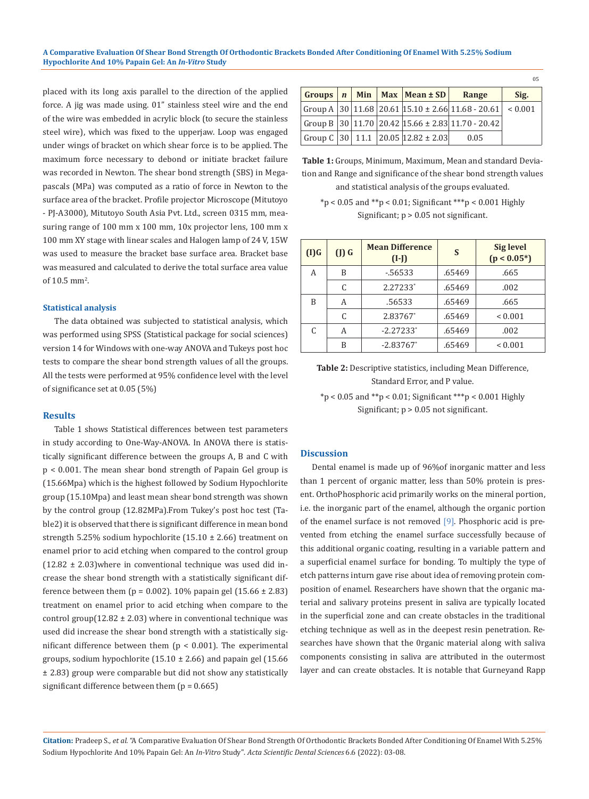placed with its long axis parallel to the direction of the applied force. A jig was made using. 01" stainless steel wire and the end of the wire was embedded in acrylic block (to secure the stainless steel wire), which was fixed to the upperjaw. Loop was engaged under wings of bracket on which shear force is to be applied. The maximum force necessary to debond or initiate bracket failure was recorded in Newton. The shear bond strength (SBS) in Megapascals (MPa) was computed as a ratio of force in Newton to the surface area of the bracket. Profile projector Microscope (Mitutoyo - PJ-A3000), Mitutoyo South Asia Pvt. Ltd., screen 0315 mm, measuring range of 100 mm x 100 mm, 10x projector lens, 100 mm x 100 mm XY stage with linear scales and Halogen lamp of 24 V, 15W was used to measure the bracket base surface area. Bracket base was measured and calculated to derive the total surface area value of  $10.5 \text{ mm}^2$ .

## **Statistical analysis**

The data obtained was subjected to statistical analysis, which was performed using SPSS (Statistical package for social sciences) version 14 for Windows with one-way ANOVA and Tukeys post hoc tests to compare the shear bond strength values of all the groups. All the tests were performed at 95% confidence level with the level of significance set at 0.05 (5%)

## **Results**

Table 1 shows Statistical differences between test parameters in study according to One-Way-ANOVA. In ANOVA there is statistically significant difference between the groups A, B and C with p < 0.001. The mean shear bond strength of Papain Gel group is (15.66Mpa) which is the highest followed by Sodium Hypochlorite group (15.10Mpa) and least mean shear bond strength was shown by the control group (12.82MPa).From Tukey's post hoc test (Table2) it is observed that there is significant difference in mean bond strength 5.25% sodium hypochlorite  $(15.10 \pm 2.66)$  treatment on enamel prior to acid etching when compared to the control group  $(12.82 \pm 2.03)$  where in conventional technique was used did increase the shear bond strength with a statistically significant difference between them ( $p = 0.002$ ). 10% papain gel (15.66  $\pm$  2.83) treatment on enamel prior to acid etching when compare to the control group( $12.82 \pm 2.03$ ) where in conventional technique was used did increase the shear bond strength with a statistically significant difference between them  $(p < 0.001)$ . The experimental groups, sodium hypochlorite  $(15.10 \pm 2.66)$  and papain gel  $(15.66$ ± 2.83) group were comparable but did not show any statistically significant difference between them  $(p = 0.665)$ 

|  |  |                                           |                                                             | 0 <sub>5</sub> |
|--|--|-------------------------------------------|-------------------------------------------------------------|----------------|
|  |  | Groups $n \mid$ Min   Max   Mean $\pm$ SD | Range                                                       | Sig.           |
|  |  |                                           | Group A 30 11.68 20.61 15.10 ± 2.66 11.68 - 20.61   < 0.001 |                |
|  |  |                                           | Group B 30 11.70 20.42 15.66 ± 2.83 11.70 - 20.42           |                |
|  |  | Group C 30 11.1 20.05 12.82 ± 2.03        | 0.05                                                        |                |

**Table 1:** Groups, Minimum, Maximum, Mean and standard Deviation and Range and significance of the shear bond strength values and statistical analysis of the groups evaluated.

\*p < 0.05 and \*\*p < 0.01; Significant \*\*\*p < 0.001 Highly Significant; p > 0.05 not significant.

| $(I)$ $G$ | $(J)$ $G$ | <b>Mean Difference</b><br>$(I-I)$ | S      | <b>Sig level</b><br>$(p < 0.05^*)$ |
|-----------|-----------|-----------------------------------|--------|------------------------------------|
| А         | B         | $-56533$                          | .65469 | .665                               |
|           | C         | 2.27233*                          | .65469 | .002                               |
| B         | А         | .56533                            | .65469 | .665                               |
|           | C         | 2.83767*                          | .65469 | ${}_{0.001}$                       |
|           | А         | $-2.27233*$                       | .65469 | .002                               |
|           | B         | $-2.83767$ *                      | .65469 | ${}_{0.001}$                       |

**Table 2:** Descriptive statistics, including Mean Difference, Standard Error, and P value.

\*p < 0.05 and \*\*p < 0.01; Significant \*\*\*p < 0.001 Highly Significant; p > 0.05 not significant.

### **Discussion**

Dental enamel is made up of 96%of inorganic matter and less than 1 percent of organic matter, less than 50% protein is present. OrthoPhosphoric acid primarily works on the mineral portion, i.e. the inorganic part of the enamel, although the organic portion of the enamel surface is not removed [9]. Phosphoric acid is prevented from etching the enamel surface successfully because of this additional organic coating, resulting in a variable pattern and a superficial enamel surface for bonding. To multiply the type of etch patterns inturn gave rise about idea of removing protein composition of enamel. Researchers have shown that the organic material and salivary proteins present in saliva are typically located in the superficial zone and can create obstacles in the traditional etching technique as well as in the deepest resin penetration. Researches have shown that the 0rganic material along with saliva components consisting in saliva are attributed in the outermost layer and can create obstacles. It is notable that Gurneyand Rapp

**Citation:** Pradeep S*., et al.* "A Comparative Evaluation Of Shear Bond Strength Of Orthodontic Brackets Bonded After Conditioning Of Enamel With 5.25% Sodium Hypochlorite And 10% Papain Gel: An *In-Vitro* Study". *Acta Scientific Dental Sciences* 6.6 (2022): 03-08.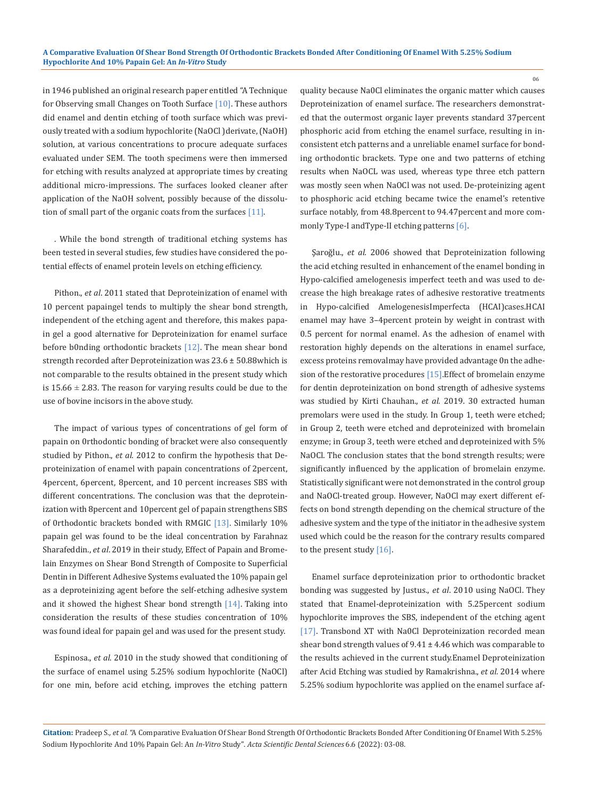in 1946 published an original research paper entitled "A Technique for Observing small Changes on Tooth Surface [10]. These authors did enamel and dentin etching of tooth surface which was previously treated with a sodium hypochlorite (NaOCl )derivate, (NaOH) solution, at various concentrations to procure adequate surfaces evaluated under SEM. The tooth specimens were then immersed for etching with results analyzed at appropriate times by creating additional micro-impressions. The surfaces looked cleaner after application of the NaOH solvent, possibly because of the dissolution of small part of the organic coats from the surfaces [11].

. While the bond strength of traditional etching systems has been tested in several studies, few studies have considered the potential effects of enamel protein levels on etching efficiency.

Pithon., *et al*. 2011 stated that Deproteinization of enamel with 10 percent papaingel tends to multiply the shear bond strength, independent of the etching agent and therefore, this makes papain gel a good alternative for Deproteinization for enamel surface before b0nding orthodontic brackets [12]. The mean shear bond strength recorded after Deproteinization was 23.6 ± 50.88which is not comparable to the results obtained in the present study which is  $15.66 \pm 2.83$ . The reason for varying results could be due to the use of bovine incisors in the above study.

The impact of various types of concentrations of gel form of papain on 0rthodontic bonding of bracket were also consequently studied by Pithon., *et al.* 2012 to confirm the hypothesis that Deproteinization of enamel with papain concentrations of 2percent, 4percent, 6percent, 8percent, and 10 percent increases SBS with different concentrations. The conclusion was that the deproteinization with 8percent and 10percent gel of papain strengthens SBS of 0rthodontic brackets bonded with RMGIC [13]. Similarly 10% papain gel was found to be the ideal concentration by Farahnaz Sharafeddin., *et al*. 2019 in their study, Effect of Papain and Bromelain Enzymes on Shear Bond Strength of Composite to Superficial Dentin in Different Adhesive Systems evaluated the 10% papain gel as a deproteinizing agent before the self-etching adhesive system and it showed the highest Shear bond strength  $[14]$ . Taking into consideration the results of these studies concentration of 10% was found ideal for papain gel and was used for the present study.

Espinosa., *et al*. 2010 in the study showed that conditioning of the surface of enamel using 5.25% sodium hypochlorite (NaOCl) for one min, before acid etching, improves the etching pattern quality because Na0Cl eliminates the organic matter which causes Deproteinization of enamel surface. The researchers demonstrated that the outermost organic layer prevents standard 37percent phosphoric acid from etching the enamel surface, resulting in inconsistent etch patterns and a unreliable enameI surface for bonding orthodontic brackets. Type one and two patterns of etching results when NaOCL was used, whereas type three etch pattern was mostly seen when NaOCl was not used. De-proteinizing agent to phosphoric acid etching became twice the enamel's retentive surface notably, from 48.8percent to 94.47percent and more commonly Type-I andType-II etching patterns [6].

Şaroğlu., *et al.* 2006 showed that Deproteinization following the acid etching resulted in enhancement of the enamel bonding in Hypo-calcified amelogenesis imperfect teeth and was used to decrease the high breakage rates of adhesive restorative treatments in Hypo-calcified AmelogenesisImperfecta (HCAI)cases.HCAI enamel may have 3–4percent protein by weight in contrast with 0.5 percent for normal enamel. As the adhesion of enamel with restoration highly depends on the alterations in enamel surface, excess proteins removalmay have provided advantage 0n the adhesion of the restorative procedures [15].Effect of bromelain enzyme for dentin deproteinization on bond strength of adhesive systems was studied by Kirti Chauhan., *et al.* 2019. 30 extracted human premolars were used in the study. In Group 1, teeth were etched; in Group 2, teeth were etched and deproteinized with bromelain enzyme; in Group 3, teeth were etched and deproteinized with 5% NaOCl. The conclusion states that the bond strength results; were significantly influenced by the application of bromelain enzyme. Statistically significant were not demonstrated in the control group and NaOCl-treated group. However, NaOCl may exert different effects on bond strength depending on the chemical structure of the adhesive system and the type of the initiator in the adhesive system used which could be the reason for the contrary results compared to the present study [16].

Enamel surface deproteinization prior to orthodontic bracket bonding was suggested by Justus., *et al*. 2010 using NaOCl. They stated that Enamel-deproteinization with 5.25percent sodium hypochlorite improves the SBS, independent of the etching agent [17]. Transbond XT with Na0Cl Deproteinization recorded mean shear bond strength values of 9.41 ± 4.46 which was comparable to the results achieved in the current study.Enamel Deproteinization after Acid Etching was studied by Ramakrishna., *et al.* 2014 where 5.25% sodium hypochlorite was applied on the enamel surface af-

06

**Citation:** Pradeep S*., et al.* "A Comparative Evaluation Of Shear Bond Strength Of Orthodontic Brackets Bonded After Conditioning Of Enamel With 5.25% Sodium Hypochlorite And 10% Papain Gel: An *In-Vitro* Study". *Acta Scientific Dental Sciences* 6.6 (2022): 03-08.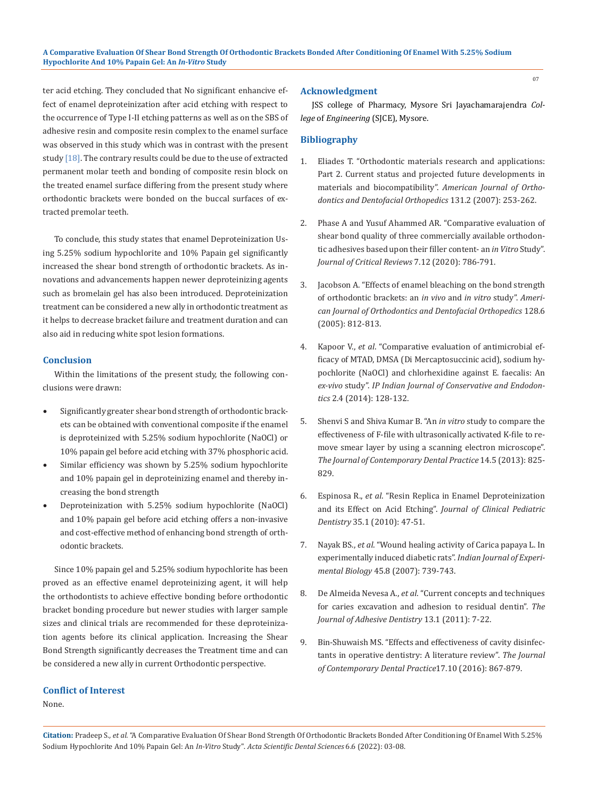ter acid etching. They concluded that No significant enhancive effect of enamel deproteinization after acid etching with respect to the occurrence of Type I-II etching patterns as well as on the SBS of adhesive resin and composite resin complex to the enamel surface was observed in this study which was in contrast with the present study  $[18]$ . The contrary results could be due to the use of extracted permanent molar teeth and bonding of composite resin block on the treated enamel surface differing from the present study where orthodontic brackets were bonded on the buccal surfaces of extracted premolar teeth.

To conclude, this study states that enamel Deproteinization Using 5.25% sodium hypochlorite and 10% Papain gel significantly increased the shear bond strength of orthodontic brackets. As innovations and advancements happen newer deproteinizing agents such as bromelain gel has also been introduced. Deproteinization treatment can be considered a new ally in orthodontic treatment as it helps to decrease bracket failure and treatment duration and can also aid in reducing white spot lesion formations.

## **Conclusion**

Within the limitations of the present study, the following conclusions were drawn:

- • Significantly greater shear bond strength of orthodontic brackets can be obtained with conventional composite if the enamel is deproteinized with 5.25% sodium hypochlorite (NaOCl) or 10% papain gel before acid etching with 37% phosphoric acid.
- Similar efficiency was shown by 5.25% sodium hypochlorite and 10% papain gel in deproteinizing enamel and thereby increasing the bond strength
- • Deproteinization with 5.25% sodium hypochlorite (NaOCl) and 10% papain gel before acid etching offers a non-invasive and cost-effective method of enhancing bond strength of orthodontic brackets.

Since 10% papain gel and 5.25% sodium hypochlorite has been proved as an effective enamel deproteinizing agent, it will help the orthodontists to achieve effective bonding before orthodontic bracket bonding procedure but newer studies with larger sample sizes and clinical trials are recommended for these deproteinization agents before its clinical application. Increasing the Shear Bond Strength significantly decreases the Treatment time and can be considered a new ally in current Orthodontic perspective.

## **Conflict of Interest**

# None.

#### **Acknowledgment**

JSS college of Pharmacy, Mysore Sri Jayachamarajendra *College* of *Engineering* (SJCE), Mysore.

#### **Bibliography**

- 1. [Eliades T. "Orthodontic materials research and applications:](https://pubmed.ncbi.nlm.nih.gov/17276868/)  [Part 2. Current status and projected future developments in](https://pubmed.ncbi.nlm.nih.gov/17276868/)  [materials and biocompatibility".](https://pubmed.ncbi.nlm.nih.gov/17276868/) *American Journal of Ortho[dontics and Dentofacial Orthopedics](https://pubmed.ncbi.nlm.nih.gov/17276868/)* 131.2 (2007): 253-262.
- 2. [Phase A and Yusuf Ahammed AR. "Comparative evaluation of](https://www.researchgate.net/publication/279524531_Comparative_evaluation_of_shear_bond_strength_of_three_resin_based_dual-cure_core_build-up_materials_An_In-vitro_study)  [shear bond quality of three commercially available orthodon](https://www.researchgate.net/publication/279524531_Comparative_evaluation_of_shear_bond_strength_of_three_resin_based_dual-cure_core_build-up_materials_An_In-vitro_study)[tic adhesives based upon their filler content- an](https://www.researchgate.net/publication/279524531_Comparative_evaluation_of_shear_bond_strength_of_three_resin_based_dual-cure_core_build-up_materials_An_In-vitro_study) *in Vitro* Study". *[Journal of Critical Reviews](https://www.researchgate.net/publication/279524531_Comparative_evaluation_of_shear_bond_strength_of_three_resin_based_dual-cure_core_build-up_materials_An_In-vitro_study)* 7.12 (2020): 786-791.
- 3. [Jacobson A. "Effects of enamel bleaching on the bond strength](https://www.ajodo.org/article/S0889-5406(05)00496-8/fulltext)  [of orthodontic brackets: an](https://www.ajodo.org/article/S0889-5406(05)00496-8/fulltext) *in vivo* and *in vitro* study". *Ameri[can Journal of Orthodontics and Dentofacial Orthopedics](https://www.ajodo.org/article/S0889-5406(05)00496-8/fulltext)* 128.6 [\(2005\): 812-813.](https://www.ajodo.org/article/S0889-5406(05)00496-8/fulltext)
- 4. Kapoor V., *et al*[. "Comparative evaluation of antimicrobial ef](https://pubmed.ncbi.nlm.nih.gov/17804328/)[ficacy of MTAD, DMSA \(Di Mercaptosuccinic acid\), sodium hy](https://pubmed.ncbi.nlm.nih.gov/17804328/)[pochlorite \(NaOCl\) and chlorhexidine against E. faecalis: An](https://pubmed.ncbi.nlm.nih.gov/17804328/)  *ex-vivo* study". *[IP Indian Journal of Conservative and Endodon](https://pubmed.ncbi.nlm.nih.gov/17804328/)tics* [2.4 \(2014\): 128-132.](https://pubmed.ncbi.nlm.nih.gov/17804328/)
- 5. [Shenvi S and Shiva Kumar B. "An](https://pubmed.ncbi.nlm.nih.gov/24685782/) *in vitro* study to compare the [effectiveness of F-file with ultrasonically activated K-file to re](https://pubmed.ncbi.nlm.nih.gov/24685782/)[move smear layer by using a scanning electron microscope".](https://pubmed.ncbi.nlm.nih.gov/24685782/)  *[The Journal of Contemporary Dental Practice](https://pubmed.ncbi.nlm.nih.gov/24685782/)* 14.5 (2013): 825- [829.](https://pubmed.ncbi.nlm.nih.gov/24685782/)
- 6. Espinosa R., *et al*[. "Resin Replica in Enamel Deproteinization](https://pubmed.ncbi.nlm.nih.gov/21189764/)  and its Effect on Acid Etching". *[Journal of Clinical Pediatric](https://pubmed.ncbi.nlm.nih.gov/21189764/)  Dentistry* [35.1 \(2010\): 47-51.](https://pubmed.ncbi.nlm.nih.gov/21189764/)
- 7. Nayak BS., *et al*[. "Wound healing activity of Carica papaya L. In](https://pubmed.ncbi.nlm.nih.gov/17877152/)  [experimentally induced diabetic rats".](https://pubmed.ncbi.nlm.nih.gov/17877152/) *Indian Journal of Experimental Biology* [45.8 \(2007\): 739-743.](https://pubmed.ncbi.nlm.nih.gov/17877152/)
- 8. De Almeida Nevesa A., *et al*[. "Current concepts and techniques](https://pubmed.ncbi.nlm.nih.gov/21403932/)  [for caries excavation and adhesion to residual dentin".](https://pubmed.ncbi.nlm.nih.gov/21403932/) *The [Journal of Adhesive Dentistry](https://pubmed.ncbi.nlm.nih.gov/21403932/)* 13.1 (2011): 7-22.
- 9. [Bin-Shuwaish MS. "Effects and effectiveness of cavity disinfec](https://pubmed.ncbi.nlm.nih.gov/27794161/)[tants in operative dentistry: A literature review".](https://pubmed.ncbi.nlm.nih.gov/27794161/) *The Journal [of Contemporary Dental Practice](https://pubmed.ncbi.nlm.nih.gov/27794161/)*17.10 (2016): 867-879.

**Citation:** Pradeep S*., et al.* "A Comparative Evaluation Of Shear Bond Strength Of Orthodontic Brackets Bonded After Conditioning Of Enamel With 5.25% Sodium Hypochlorite And 10% Papain Gel: An *In-Vitro* Study". *Acta Scientific Dental Sciences* 6.6 (2022): 03-08.

07